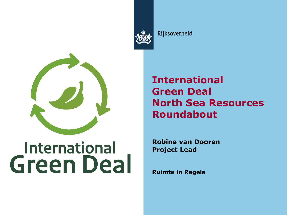

Rijksoverheid



# **International Green Deal**

**International Green Deal North Sea Resources Roundabout**

**Robine van Dooren Project Lead**

**Ruimte in Regels**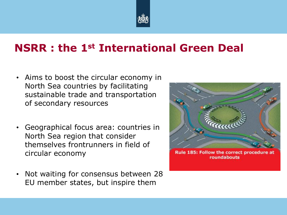

#### **NSRR : the 1st International Green Deal**

- Aims to boost the circular economy in North Sea countries by facilitating sustainable trade and transportation of secondary resources
- Geographical focus area: countries in North Sea region that consider themselves frontrunners in field of circular economy
- Not waiting for consensus between 28 EU member states, but inspire them



Rule 185: Follow the correct procedure at roundabouts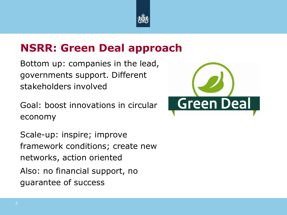

#### **NSRR: Green Deal approach**

Bottom up: companies in the lead, governments support. Different stakeholders involved

Goal: boost innovations in circular economy

Scale-up: inspire; improve framework conditions; create new networks, action oriented Also: no financial support, no guarantee of success

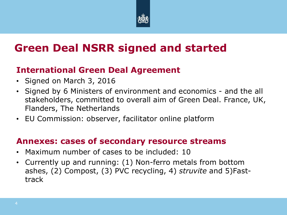

# **Green Deal NSRR signed and started**

#### **International Green Deal Agreement**

- Signed on March 3, 2016
- Signed by 6 Ministers of environment and economics and the all stakeholders, committed to overall aim of Green Deal. France, UK, Flanders, The Netherlands
- EU Commission: observer, facilitator online platform

#### **Annexes: cases of secondary resource streams**

- Maximum number of cases to be included: 10
- Currently up and running: (1) Non-ferro metals from bottom ashes, (2) Compost, (3) PVC recycling, 4) *struvite* and 5)Fasttrack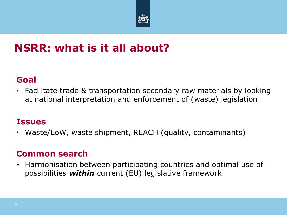

#### **NSRR: what is it all about?**

#### **Goal**

• Facilitate trade & transportation secondary raw materials by looking at national interpretation and enforcement of (waste) legislation

#### **Issues**

• Waste/EoW, waste shipment, REACH (quality, contaminants)

#### **Common search**

• Harmonisation between participating countries and optimal use of possibilities *within* current (EU) legislative framework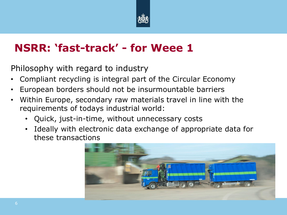

### **NSRR: 'fast-track' - for Weee 1**

Philosophy with regard to industry

- Compliant recycling is integral part of the Circular Economy
- European borders should not be insurmountable barriers
- Within Europe, secondary raw materials travel in line with the requirements of todays industrial world:
	- Quick, just-in-time, without unnecessary costs
	- Ideally with electronic data exchange of appropriate data for these transactions

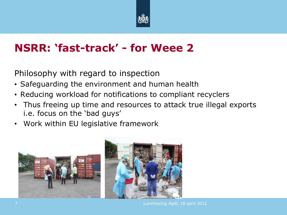

## **NSRR: 'fast-track' - for Weee 2**

Philosophy with regard to inspection

- Safeguarding the environment and human health
- Reducing workload for notifications to compliant recyclers
- Thus freeing up time and resources to attack true illegal exports i.e. focus on the 'bad guys'
- Work within EU legislative framework

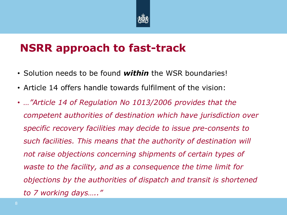

#### **NSRR approach to fast-track**

- Solution needs to be found *within* the WSR boundaries!
- Article 14 offers handle towards fulfilment of the vision:
- *…"Article 14 of Regulation No 1013/2006 provides that the competent authorities of destination which have jurisdiction over specific recovery facilities may decide to issue pre-consents to such facilities. This means that the authority of destination will not raise objections concerning shipments of certain types of waste to the facility, and as a consequence the time limit for objections by the authorities of dispatch and transit is shortened to 7 working days….."*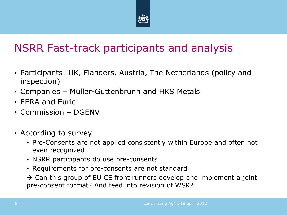

## NSRR Fast-track participants and analysis

- Participants: UK, Flanders, Austria, The Netherlands (policy and inspection)
- Companies Müller-Guttenbrunn and HKS Metals
- EERA and Euric
- Commission DGENV
- According to survey
	- Pre-Consents are not applied consistently within Europe and often not even recognized
	- NSRR participants do use pre-consents
	- Requirements for pre-consents are not standard

 $\rightarrow$  Can this group of EU CE front runners develop and implement a joint pre-consent format? And feed into revision of WSR?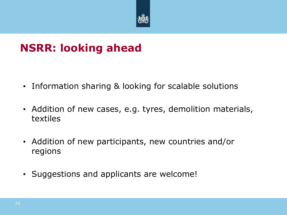

## **NSRR: looking ahead**

- Information sharing & looking for scalable solutions
- Addition of new cases, e.g. tyres, demolition materials, textiles
- Addition of new participants, new countries and/or regions
- Suggestions and applicants are welcome!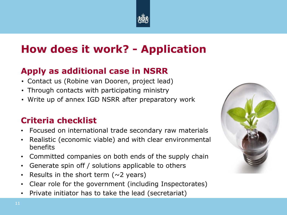

# **How does it work? - Application**

#### **Apply as additional case in NSRR**

- Contact us (Robine van Dooren, project lead)
- Through contacts with participating ministry
- Write up of annex IGD NSRR after preparatory work

#### **Criteria checklist**

- Focused on international trade secondary raw materials
- Realistic (economic viable) and with clear environmental benefits
- Committed companies on both ends of the supply chain
- Generate spin off / solutions applicable to others
- Results in the short term  $(\sim 2 \text{ years})$
- Clear role for the government (including Inspectorates)
- Private initiator has to take the lead (secretariat)